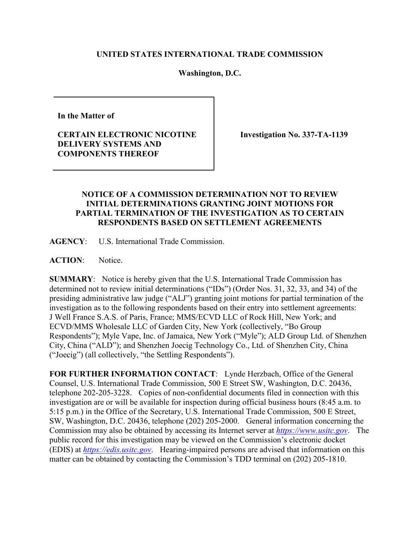## **UNITED STATES INTERNATIONAL TRADE COMMISSION**

## **Washington, D.C.**

**In the Matter of**

**CERTAIN ELECTRONIC NICOTINE DELIVERY SYSTEMS AND COMPONENTS THEREOF**

**Investigation No. 337-TA-1139**

## **NOTICE OF A COMMISSION DETERMINATION NOT TO REVIEW INITIAL DETERMINATIONS GRANTING JOINT MOTIONS FOR PARTIAL TERMINATION OF THE INVESTIGATION AS TO CERTAIN RESPONDENTS BASED ON SETTLEMENT AGREEMENTS**

**AGENCY**: U.S. International Trade Commission.

**ACTION**: Notice.

**SUMMARY**: Notice is hereby given that the U.S. International Trade Commission has determined not to review initial determinations ("IDs") (Order Nos. 31, 32, 33, and 34) of the presiding administrative law judge ("ALJ") granting joint motions for partial termination of the investigation as to the following respondents based on their entry into settlement agreements: J Well France S.A.S. of Paris, France; MMS/ECVD LLC of Rock Hill, New York; and ECVD/MMS Wholesale LLC of Garden City, New York (collectively, "Bo Group Respondents"); Myle Vape, Inc. of Jamaica, New York ("Myle"); ALD Group Ltd. of Shenzhen City, China ("ALD"); and Shenzhen Joecig Technology Co., Ltd. of Shenzhen City, China ("Joecig") (all collectively, "the Settling Respondents").

**FOR FURTHER INFORMATION CONTACT**: Lynde Herzbach, Office of the General Counsel, U.S. International Trade Commission, 500 E Street SW, Washington, D.C. 20436, telephone 202-205-3228. Copies of non-confidential documents filed in connection with this investigation are or will be available for inspection during official business hours (8:45 a.m. to 5:15 p.m.) in the Office of the Secretary, U.S. International Trade Commission, 500 E Street, SW, Washington, D.C. 20436, telephone (202) 205-2000. General information concerning the Commission may also be obtained by accessing its Internet server at *[https://www.usitc.gov](https://www.usitc.gov/)*. The public record for this investigation may be viewed on the Commission's electronic docket (EDIS) at *[https://edis.usitc.gov](https://edis.usitc.gov/)*. Hearing-impaired persons are advised that information on this matter can be obtained by contacting the Commission's TDD terminal on (202) 205-1810.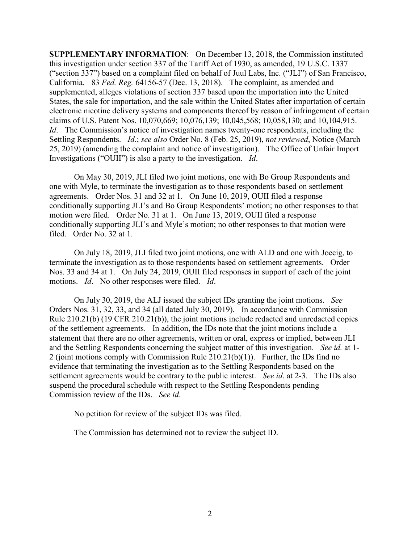**SUPPLEMENTARY INFORMATION**: On December 13, 2018, the Commission instituted this investigation under section 337 of the Tariff Act of 1930, as amended, 19 U.S.C. 1337 ("section 337") based on a complaint filed on behalf of Juul Labs, Inc. ("JLI") of San Francisco, California. 83 *Fed. Reg.* 64156-57 (Dec. 13, 2018). The complaint, as amended and supplemented, alleges violations of section 337 based upon the importation into the United States, the sale for importation, and the sale within the United States after importation of certain electronic nicotine delivery systems and components thereof by reason of infringement of certain claims of U.S. Patent Nos. 10,070,669; 10,076,139; 10,045,568; 10,058,130; and 10,104,915. *Id.* The Commission's notice of investigation names twenty-one respondents, including the Settling Respondents. *Id*.; *see also* Order No. 8 (Feb. 25, 2019), *not reviewed*, Notice (March 25, 2019) (amending the complaint and notice of investigation). The Office of Unfair Import Investigations ("OUII") is also a party to the investigation. *Id*.

On May 30, 2019, JLI filed two joint motions, one with Bo Group Respondents and one with Myle, to terminate the investigation as to those respondents based on settlement agreements. Order Nos. 31 and 32 at 1. On June 10, 2019, OUII filed a response conditionally supporting JLI's and Bo Group Respondents' motion; no other responses to that motion were filed. Order No. 31 at 1. On June 13, 2019, OUII filed a response conditionally supporting JLI's and Myle's motion; no other responses to that motion were filed. Order No. 32 at 1.

On July 18, 2019, JLI filed two joint motions, one with ALD and one with Joecig, to terminate the investigation as to those respondents based on settlement agreements. Order Nos. 33 and 34 at 1. On July 24, 2019, OUII filed responses in support of each of the joint motions. *Id*. No other responses were filed. *Id*.

On July 30, 2019, the ALJ issued the subject IDs granting the joint motions. *See* Orders Nos. 31, 32, 33, and 34 (all dated July 30, 2019). In accordance with Commission Rule 210.21(b) (19 CFR 210.21(b)), the joint motions include redacted and unredacted copies of the settlement agreements. In addition, the IDs note that the joint motions include a statement that there are no other agreements, written or oral, express or implied, between JLI and the Settling Respondents concerning the subject matter of this investigation. *See id.* at 1- 2 (joint motions comply with Commission Rule 210.21(b)(1)). Further, the IDs find no evidence that terminating the investigation as to the Settling Respondents based on the settlement agreements would be contrary to the public interest. *See id*. at 2-3. The IDs also suspend the procedural schedule with respect to the Settling Respondents pending Commission review of the IDs. *See id*.

No petition for review of the subject IDs was filed.

The Commission has determined not to review the subject ID.